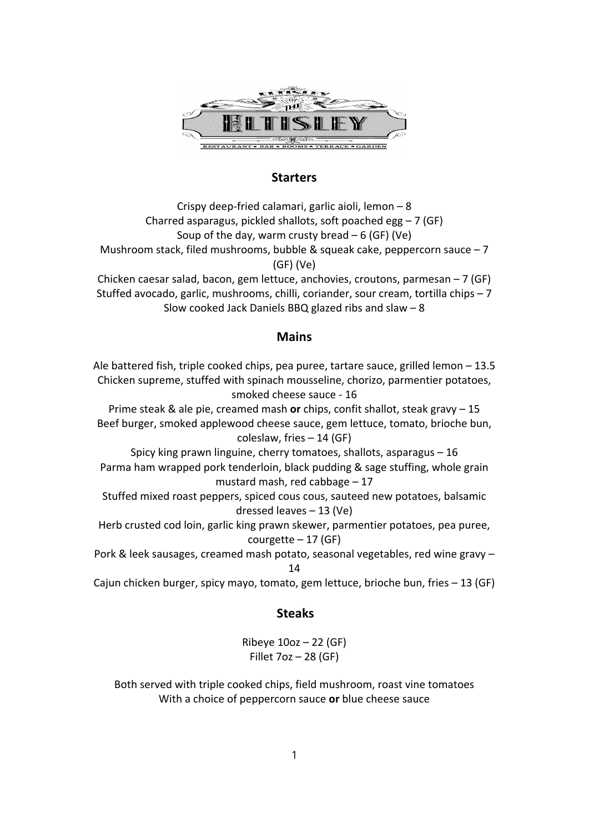

# **Starters**

Crispy deep‐fried calamari, garlic aioli, lemon – 8 Charred asparagus, pickled shallots, soft poached egg  $-7$  (GF) Soup of the day, warm crusty bread  $-6$  (GF) (Ve) Mushroom stack, filed mushrooms, bubble & squeak cake, peppercorn sauce  $-7$ (GF) (Ve)

Chicken caesar salad, bacon, gem lettuce, anchovies, croutons, parmesan – 7 (GF) Stuffed avocado, garlic, mushrooms, chilli, coriander, sour cream, tortilla chips – 7 Slow cooked Jack Daniels BBQ glazed ribs and slaw – 8

## **Mains**

Ale battered fish, triple cooked chips, pea puree, tartare sauce, grilled lemon – 13.5 Chicken supreme, stuffed with spinach mousseline, chorizo, parmentier potatoes, smoked cheese sauce ‐ 16

Prime steak & ale pie, creamed mash **or** chips, confit shallot, steak gravy – 15 Beef burger, smoked applewood cheese sauce, gem lettuce, tomato, brioche bun, coleslaw, fries – 14 (GF)

Spicy king prawn linguine, cherry tomatoes, shallots, asparagus – 16 Parma ham wrapped pork tenderloin, black pudding & sage stuffing, whole grain mustard mash, red cabbage – 17

Stuffed mixed roast peppers, spiced cous cous, sauteed new potatoes, balsamic dressed leaves – 13 (Ve)

Herb crusted cod loin, garlic king prawn skewer, parmentier potatoes, pea puree, courgette  $-17$  (GF)

Pork & leek sausages, creamed mash potato, seasonal vegetables, red wine gravy – 14

Cajun chicken burger, spicy mayo, tomato, gem lettuce, brioche bun, fries – 13 (GF)

## **Steaks**

Ribeye  $10oz - 22$  (GF) Fillet 7oz – 28 (GF)

Both served with triple cooked chips, field mushroom, roast vine tomatoes With a choice of peppercorn sauce **or** blue cheese sauce